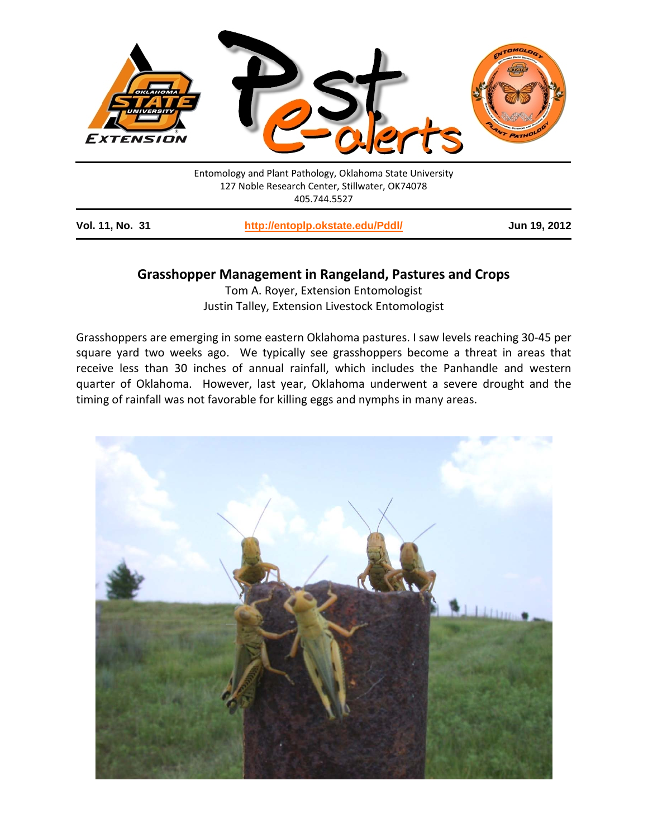

Entomology and Plant Pathology, Oklahoma State University 127 Noble Research Center, Stillwater, OK74078 405.744.5527

**Vol. 11, No. 31 <http://entoplp.okstate.edu/Pddl/> Jun 19, 2012**

## **Grasshopper Management in Rangeland, Pastures and Crops**

Tom A. Royer, Extension Entomologist Justin Talley, Extension Livestock Entomologist

Grasshoppers are emerging in some eastern Oklahoma pastures. I saw levels reaching 30-45 per square yard two weeks ago. We typically see grasshoppers become a threat in areas that receive less than 30 inches of annual rainfall, which includes the Panhandle and western quarter of Oklahoma. However, last year, Oklahoma underwent a severe drought and the timing of rainfall was not favorable for killing eggs and nymphs in many areas.

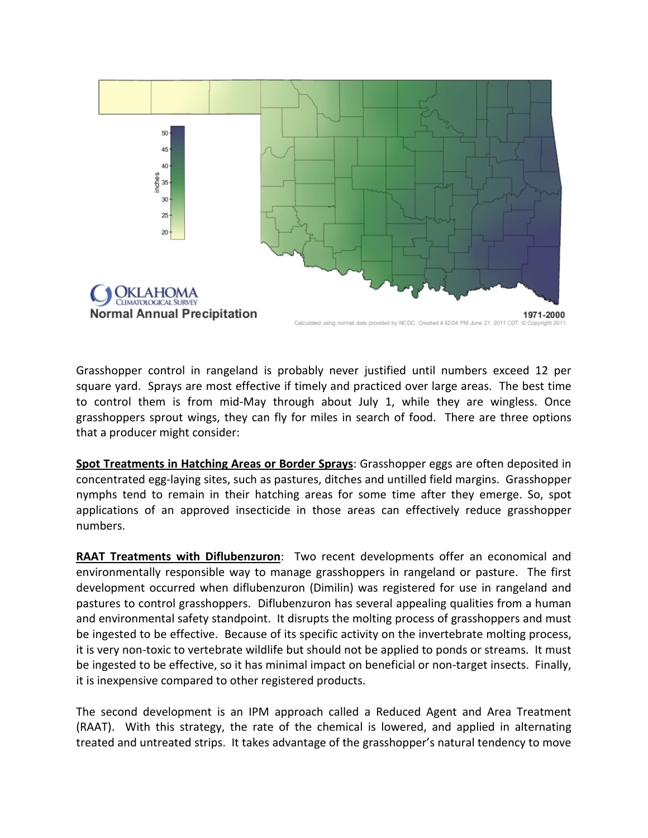

Grasshopper control in rangeland is probably never justified until numbers exceed 12 per square yard. Sprays are most effective if timely and practiced over large areas. The best time to control them is from mid-May through about July 1, while they are wingless. Once grasshoppers sprout wings, they can fly for miles in search of food. There are three options that a producer might consider:

**Spot Treatments in Hatching Areas or Border Sprays**: Grasshopper eggs are often deposited in concentrated egg-laying sites, such as pastures, ditches and untilled field margins. Grasshopper nymphs tend to remain in their hatching areas for some time after they emerge. So, spot applications of an approved insecticide in those areas can effectively reduce grasshopper numbers.

**RAAT Treatments with Diflubenzuron**: Two recent developments offer an economical and environmentally responsible way to manage grasshoppers in rangeland or pasture. The first development occurred when diflubenzuron (Dimilin) was registered for use in rangeland and pastures to control grasshoppers. Diflubenzuron has several appealing qualities from a human and environmental safety standpoint. It disrupts the molting process of grasshoppers and must be ingested to be effective. Because of its specific activity on the invertebrate molting process, it is very non-toxic to vertebrate wildlife but should not be applied to ponds or streams. It must be ingested to be effective, so it has minimal impact on beneficial or non-target insects. Finally, it is inexpensive compared to other registered products.

The second development is an IPM approach called a Reduced Agent and Area Treatment (RAAT). With this strategy, the rate of the chemical is lowered, and applied in alternating treated and untreated strips. It takes advantage of the grasshopper's natural tendency to move